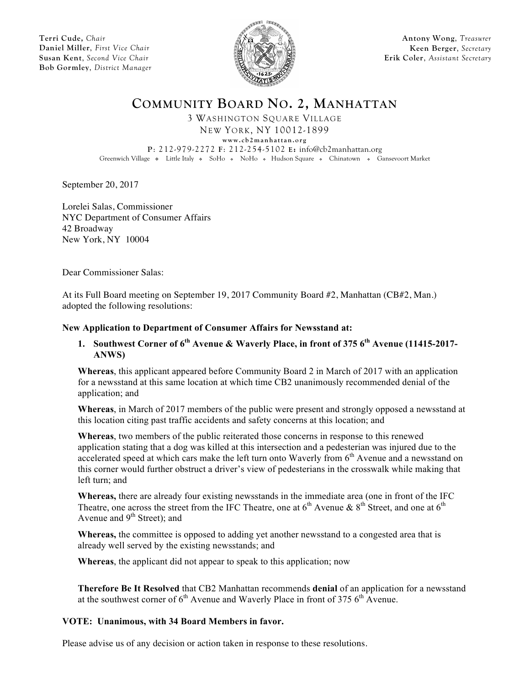**Terri Cude,** *Chair* **Daniel Miller**, *First Vice Chair* **Susan Kent**, *Second Vice Chair* **Bob Gormley**, *District Manager*



**Antony Wong**, *Treasurer* **Keen Berger**, *Secretary* **Erik Coler**, *Assistant Secretary*

**COMMUNITY BOARD NO. 2, MANHATTAN**

3 WASHINGTON SQUARE VILLAGE

NEW YORK, NY 10012-1899 **www.cb2manhattan.org**

**P**: 212-979-2272 **F**: 212-254-5102 **E:** info@cb2manhattan.org

Greenwich Village • Little Italy • SoHo • NoHo • Hudson Square • Chinatown • Gansevoort Market

September 20, 2017

Lorelei Salas, Commissioner NYC Department of Consumer Affairs 42 Broadway New York, NY 10004

Dear Commissioner Salas:

At its Full Board meeting on September 19, 2017 Community Board #2, Manhattan (CB#2, Man.) adopted the following resolutions:

## **New Application to Department of Consumer Affairs for Newsstand at:**

## **1. Southwest Corner of 6th Avenue & Waverly Place, in front of 375 6th Avenue (11415-2017- ANWS)**

**Whereas**, this applicant appeared before Community Board 2 in March of 2017 with an application for a newsstand at this same location at which time CB2 unanimously recommended denial of the application; and

**Whereas**, in March of 2017 members of the public were present and strongly opposed a newsstand at this location citing past traffic accidents and safety concerns at this location; and

**Whereas**, two members of the public reiterated those concerns in response to this renewed application stating that a dog was killed at this intersection and a pedesterian was injured due to the accelerated speed at which cars make the left turn onto Waverly from  $6<sup>th</sup>$  Avenue and a newsstand on this corner would further obstruct a driver's view of pedesterians in the crosswalk while making that left turn; and

**Whereas,** there are already four existing newsstands in the immediate area (one in front of the IFC Theatre, one across the street from the IFC Theatre, one at  $6<sup>th</sup>$  Avenue &  $8<sup>th</sup>$  Street, and one at  $6<sup>th</sup>$ Avenue and  $9<sup>th</sup>$  Street); and

**Whereas,** the committee is opposed to adding yet another newsstand to a congested area that is already well served by the existing newsstands; and

**Whereas**, the applicant did not appear to speak to this application; now

**Therefore Be It Resolved** that CB2 Manhattan recommends **denial** of an application for a newsstand at the southwest corner of  $6<sup>th</sup>$  Avenue and Waverly Place in front of 375  $6<sup>th</sup>$  Avenue.

## **VOTE: Unanimous, with 34 Board Members in favor.**

Please advise us of any decision or action taken in response to these resolutions.